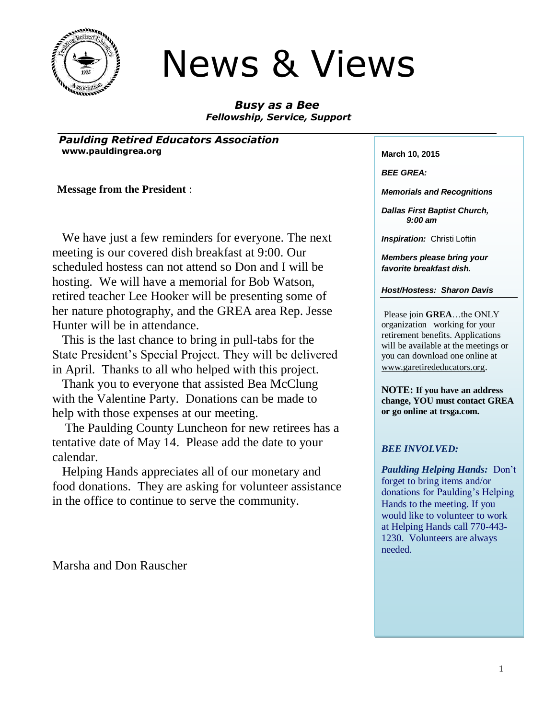

# News & Views

*Busy as a Bee Fellowship, Service, Support*

*Paulding Retired Educators Association* **www.pauldingrea.org March 10, 2015** 

 **Message from the President** :

 We have just a few reminders for everyone. The next meeting is our covered dish breakfast at 9:00. Our scheduled hostess can not attend so Don and I will be hosting. We will have a memorial for Bob Watson, retired teacher Lee Hooker will be presenting some of her nature photography, and the GREA area Rep. Jesse Hunter will be in attendance.

 This is the last chance to bring in pull-tabs for the State President's Special Project. They will be delivered in April. Thanks to all who helped with this project.

 Thank you to everyone that assisted Bea McClung with the Valentine Party. Donations can be made to help with those expenses at our meeting.

 The Paulding County Luncheon for new retirees has a tentative date of May 14. Please add the date to your calendar.

 Helping Hands appreciates all of our monetary and food donations. They are asking for volunteer assistance in the office to continue to serve the community.

Marsha and Don Rauscher

*BEE GREA:*

*Memorials and Recognitions*

*Dallas First Baptist Church, 9:00 am*

**Inspiration:** Christi Loftin

*Members please bring your favorite breakfast dish.*

*Host/Hostess: Sharon Davis*

Please join **GREA**…the ONLY organization working for your retirement benefits. Applications will be available at the meetings or you can download one online at [www.garetirededucators.org](http://www.garetirededucators.org/).

**NOTE: If you have an address change, YOU must contact GREA or go online at trsga.com.**

#### *BEE INVOLVED:*

*Paulding Helping Hands:* Don't forget to bring items and/or donations for Paulding's Helping Hands to the meeting. If you would like to volunteer to work at Helping Hands call 770-443- 1230. Volunteers are always needed.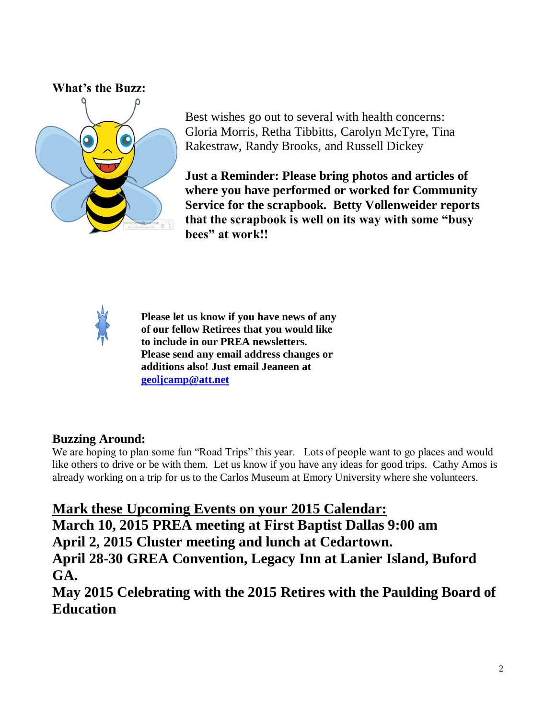#### **What's the Buzz:**



Best wishes go out to several with health concerns: Gloria Morris, Retha Tibbitts, Carolyn McTyre, Tina Rakestraw, Randy Brooks, and Russell Dickey

**Just a Reminder: Please bring photos and articles of where you have performed or worked for Community Service for the scrapbook. Betty Vollenweider reports that the scrapbook is well on its way with some "busy bees" at work!!**



**Please let us know if you have news of any of our fellow Retirees that you would like to include in our PREA newsletters. Please send any email address changes or additions also! Just email Jeaneen at [geoljcamp@att.net](mailto:geoljcamp@att.net)**

# **Buzzing Around:**

We are hoping to plan some fun "Road Trips" this year. Lots of people want to go places and would like others to drive or be with them. Let us know if you have any ideas for good trips. Cathy Amos is already working on a trip for us to the Carlos Museum at Emory University where she volunteers.

**Mark these Upcoming Events on your 2015 Calendar: March 10, 2015 PREA meeting at First Baptist Dallas 9:00 am April 2, 2015 Cluster meeting and lunch at Cedartown.**

**April 28-30 GREA Convention, Legacy Inn at Lanier Island, Buford GA.**

**May 2015 Celebrating with the 2015 Retires with the Paulding Board of Education**